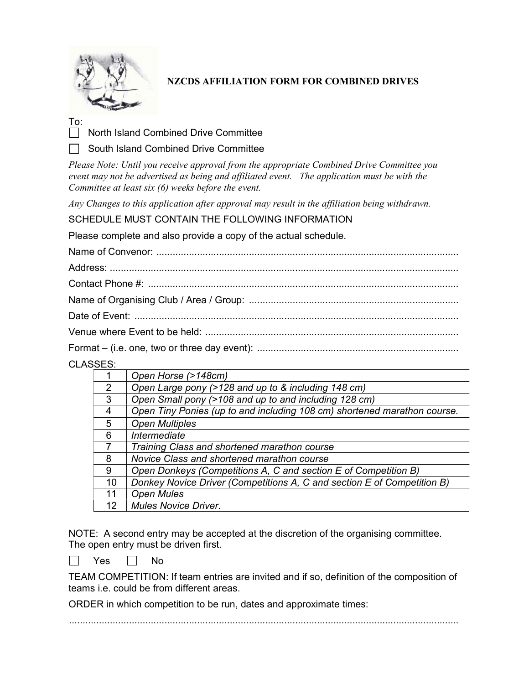

## NZCDS AFFILIATION FORM FOR COMBINED DRIVES

To:

North Island Combined Drive Committee

South Island Combined Drive Committee

Please Note: Until you receive approval from the appropriate Combined Drive Committee you event may not be advertised as being and affiliated event. The application must be with the Committee at least six (6) weeks before the event.

Any Changes to this application after approval may result in the affiliation being withdrawn.

SCHEDULE MUST CONTAIN THE FOLLOWING INFORMATION

Please complete and also provide a copy of the actual schedule.

CLASSES:

| ∼~ |                                                                          |
|----|--------------------------------------------------------------------------|
|    | Open Horse (>148cm)                                                      |
| 2  | Open Large pony (>128 and up to & including 148 cm)                      |
| 3  | Open Small pony (>108 and up to and including 128 cm)                    |
| 4  | Open Tiny Ponies (up to and including 108 cm) shortened marathon course. |
| 5  | <b>Open Multiples</b>                                                    |
| 6  | Intermediate                                                             |
|    | Training Class and shortened marathon course                             |
| 8  | Novice Class and shortened marathon course                               |
| 9  | Open Donkeys (Competitions A, C and section E of Competition B)          |
| 10 | Donkey Novice Driver (Competitions A, C and section E of Competition B)  |
| 11 | <b>Open Mules</b>                                                        |
| 12 | <b>Mules Novice Driver.</b>                                              |

NOTE: A second entry may be accepted at the discretion of the organising committee. The open entry must be driven first.

 $\Box$  Yes  $\Box$  No

TEAM COMPETITION: If team entries are invited and if so, definition of the composition of teams i.e. could be from different areas.

ORDER in which competition to be run, dates and approximate times:

...............................................................................................................................................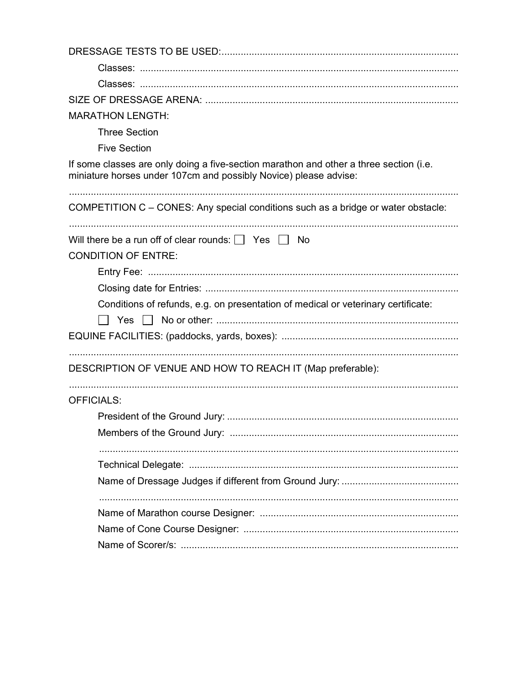| <b>MARATHON LENGTH:</b>                                                                                                                                    |
|------------------------------------------------------------------------------------------------------------------------------------------------------------|
| <b>Three Section</b>                                                                                                                                       |
| <b>Five Section</b>                                                                                                                                        |
| If some classes are only doing a five-section marathon and other a three section (i.e.<br>miniature horses under 107cm and possibly Novice) please advise: |
| COMPETITION C - CONES: Any special conditions such as a bridge or water obstacle:                                                                          |
| Will there be a run off of clear rounds: $\Box$ Yes $\Box$ No                                                                                              |
| <b>CONDITION OF ENTRE:</b>                                                                                                                                 |
|                                                                                                                                                            |
|                                                                                                                                                            |
| Conditions of refunds, e.g. on presentation of medical or veterinary certificate:                                                                          |
|                                                                                                                                                            |
|                                                                                                                                                            |
| DESCRIPTION OF VENUE AND HOW TO REACH IT (Map preferable):                                                                                                 |
| <b>OFFICIALS:</b>                                                                                                                                          |
|                                                                                                                                                            |
| Members of the Ground Jury:                                                                                                                                |
|                                                                                                                                                            |
|                                                                                                                                                            |
|                                                                                                                                                            |
|                                                                                                                                                            |
|                                                                                                                                                            |